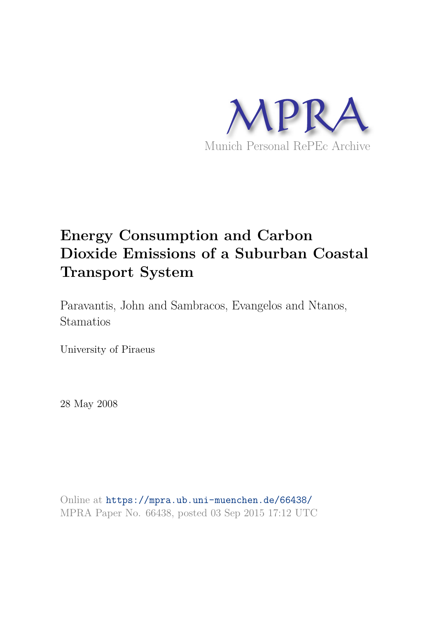

# **Energy Consumption and Carbon Dioxide Emissions of a Suburban Coastal Transport System**

Paravantis, John and Sambracos, Evangelos and Ntanos, Stamatios

University of Piraeus

28 May 2008

Online at https://mpra.ub.uni-muenchen.de/66438/ MPRA Paper No. 66438, posted 03 Sep 2015 17:12 UTC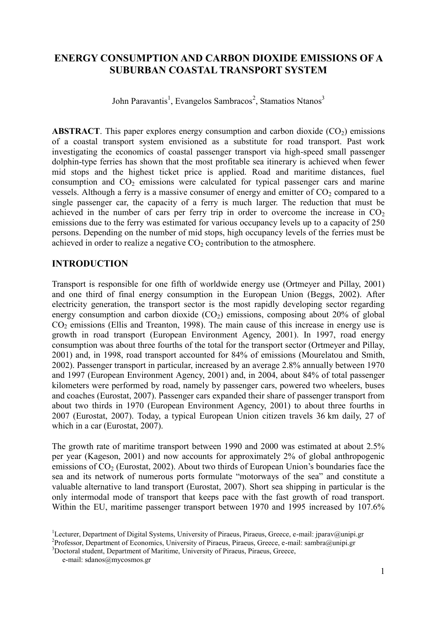# **ENERGY CONSUMPTION AND CARBON DIOXIDE EMISSIONS OF A SUBURBAN COASTAL TRANSPORT SYSTEM**

John Paravantis<sup>1</sup>, Evangelos Sambracos<sup>2</sup>, Stamatios Ntanos<sup>3</sup>

**ABSTRACT**. This paper explores energy consumption and carbon dioxide  $(CO<sub>2</sub>)$  emissions of a coastal transport system envisioned as a substitute for road transport. Past work investigating the economics of coastal passenger transport via high-speed small passenger dolphin-type ferries has shown that the most profitable sea itinerary is achieved when fewer mid stops and the highest ticket price is applied. Road and maritime distances, fuel consumption and  $CO<sub>2</sub>$  emissions were calculated for typical passenger cars and marine vessels. Although a ferry is a massive consumer of energy and emitter of  $CO<sub>2</sub>$  compared to a single passenger car, the capacity of a ferry is much larger. The reduction that must be achieved in the number of cars per ferry trip in order to overcome the increase in  $CO<sub>2</sub>$ emissions due to the ferry was estimated for various occupancy levels up to a capacity of 250 persons. Depending on the number of mid stops, high occupancy levels of the ferries must be achieved in order to realize a negative  $CO<sub>2</sub>$  contribution to the atmosphere.

## **INTRODUCTION**

Transport is responsible for one fifth of worldwide energy use (Ortmeyer and Pillay, 2001) and one third of final energy consumption in the European Union (Beggs, 2002). After electricity generation, the transport sector is the most rapidly developing sector regarding energy consumption and carbon dioxide  $(CO_2)$  emissions, composing about 20% of global  $CO<sub>2</sub>$  emissions (Ellis and Treanton, 1998). The main cause of this increase in energy use is growth in road transport (European Environment Agency, 2001). In 1997, road energy consumption was about three fourths of the total for the transport sector (Ortmeyer and Pillay, 2001) and, in 1998, road transport accounted for 84% of emissions (Mourelatou and Smith, 2002). Passenger transport in particular, increased by an average 2.8% annually between 1970 and 1997 (European Environment Agency, 2001) and, in 2004, about 84% of total passenger kilometers were performed by road, namely by passenger cars, powered two wheelers, buses and coaches (Eurostat, 2007). Passenger cars expanded their share of passenger transport from about two thirds in 1970 (European Environment Agency, 2001) to about three fourths in 2007 (Eurostat, 2007). Today, a typical European Union citizen travels 36 km daily, 27 of which in a car (Eurostat, 2007).

The growth rate of maritime transport between 1990 and 2000 was estimated at about 2.5% per year (Kageson, 2001) and now accounts for approximately 2% of global anthropogenic emissions of  $CO<sub>2</sub>$  (Eurostat, 2002). About two thirds of European Union's boundaries face the sea and its network of numerous ports formulate "motorways of the sea" and constitute a valuable alternative to land transport (Eurostat, 2007). Short sea shipping in particular is the only intermodal mode of transport that keeps pace with the fast growth of road transport. Within the EU, maritime passenger transport between 1970 and 1995 increased by 107.6%

<sup>3</sup>Doctoral student, Department of Maritime, University of Piraeus, Piraeus, Greece,

<sup>&</sup>lt;sup>1</sup>Lecturer, Department of Digital Systems, University of Piraeus, Piraeus, Greece, e-mail: jparav@unipi.gr <sup>2</sup>Professor, Department of Economics, University of Piraeus, Piraeus, Greece, e-mail: sambra@unipi.gr

e-mail: sdanos@mycosmos.gr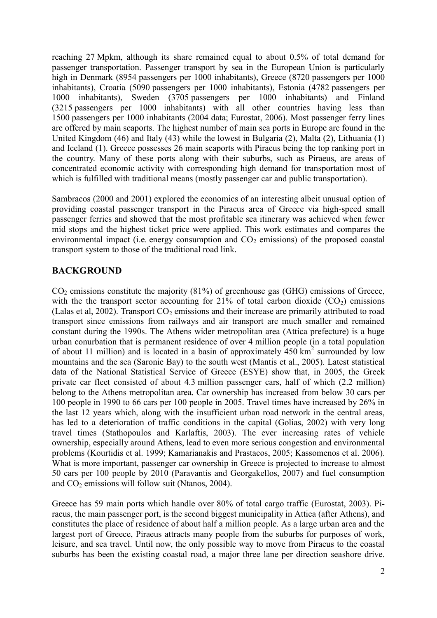reaching 27 Mpkm, although its share remained equal to about 0.5% of total demand for passenger transportation. Passenger transport by sea in the European Union is particularly high in Denmark (8954 passengers per 1000 inhabitants), Greece (8720 passengers per 1000 inhabitants), Croatia (5090 passengers per 1000 inhabitants), Estonia (4782 passengers per 1000 inhabitants), Sweden (3705 passengers per 1000 inhabitants) and Finland (3215 passengers per 1000 inhabitants) with all other countries having less than 1500 passengers per 1000 inhabitants (2004 data; Eurostat, 2006). Most passenger ferry lines are offered by main seaports. The highest number of main sea ports in Europe are found in the United Kingdom (46) and Italy (43) while the lowest in Bulgaria (2), Malta (2), Lithuania (1) and Iceland (1). Greece possesses 26 main seaports with Piraeus being the top ranking port in the country. Many of these ports along with their suburbs, such as Piraeus, are areas of concentrated economic activity with corresponding high demand for transportation most of which is fulfilled with traditional means (mostly passenger car and public transportation).

Sambracos (2000 and 2001) explored the economics of an interesting albeit unusual option of providing coastal passenger transport in the Piraeus area of Greece via high-speed small passenger ferries and showed that the most profitable sea itinerary was achieved when fewer mid stops and the highest ticket price were applied. This work estimates and compares the environmental impact (i.e. energy consumption and  $CO<sub>2</sub>$  emissions) of the proposed coastal transport system to those of the traditional road link.

## **BACKGROUND**

 $CO<sub>2</sub>$  emissions constitute the majority (81%) of greenhouse gas (GHG) emissions of Greece, with the the transport sector accounting for 21% of total carbon dioxide  $(CO<sub>2</sub>)$  emissions (Lalas et al, 2002). Transport  $CO<sub>2</sub>$  emissions and their increase are primarily attributed to road transport since emissions from railways and air transport are much smaller and remained constant during the 1990s. The Athens wider metropolitan area (Attica prefecture) is a huge urban conurbation that is permanent residence of over 4 million people (in a total population of about 11 million) and is located in a basin of approximately  $450 \text{ km}^2$  surrounded by low mountains and the sea (Saronic Bay) to the south west (Mantis et al., 2005). Latest statistical data of the National Statistical Service of Greece (ESYE) show that, in 2005, the Greek private car fleet consisted of about 4.3 million passenger cars, half of which (2.2 million) belong to the Athens metropolitan area. Car ownership has increased from below 30 cars per 100 people in 1990 to 66 cars per 100 people in 2005. Travel times have increased by 26% in the last 12 years which, along with the insufficient urban road network in the central areas, has led to a deterioration of traffic conditions in the capital (Golias, 2002) with very long travel times (Stathopoulos and Karlaftis, 2003). The ever increasing rates of vehicle ownership, especially around Athens, lead to even more serious congestion and environmental problems (Kourtidis et al. 1999; Kamarianakis and Prastacos, 2005; Kassomenos et al. 2006). What is more important, passenger car ownership in Greece is projected to increase to almost 50 cars per 100 people by 2010 (Paravantis and Georgakellos, 2007) and fuel consumption and  $CO<sub>2</sub>$  emissions will follow suit (Ntanos, 2004).

Greece has 59 main ports which handle over 80% of total cargo traffic (Eurostat, 2003). Piraeus, the main passenger port, is the second biggest municipality in Attica (after Athens), and constitutes the place of residence of about half a million people. As a large urban area and the largest port of Greece, Piraeus attracts many people from the suburbs for purposes of work, leisure, and sea travel. Until now, the only possible way to move from Piraeus to the coastal suburbs has been the existing coastal road, a major three lane per direction seashore drive.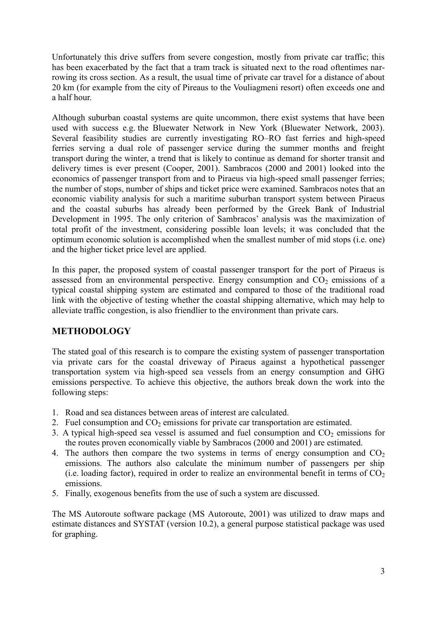Unfortunately this drive suffers from severe congestion, mostly from private car traffic; this has been exacerbated by the fact that a tram track is situated next to the road oftentimes narrowing its cross section. As a result, the usual time of private car travel for a distance of about 20 km (for example from the city of Pireaus to the Vouliagmeni resort) often exceeds one and a half hour.

Although suburban coastal systems are quite uncommon, there exist systems that have been used with success e.g. the Bluewater Network in New York (Bluewater Network, 2003). Several feasibility studies are currently investigating RO–RO fast ferries and high-speed ferries serving a dual role of passenger service during the summer months and freight transport during the winter, a trend that is likely to continue as demand for shorter transit and delivery times is ever present (Cooper, 2001). Sambracos (2000 and 2001) looked into the economics of passenger transport from and to Piraeus via high-speed small passenger ferries; the number of stops, number of ships and ticket price were examined. Sambracos notes that an economic viability analysis for such a maritime suburban transport system between Piraeus and the coastal suburbs has already been performed by the Greek Bank of Industrial Development in 1995. The only criterion of Sambracos' analysis was the maximization of total profit of the investment, considering possible loan levels; it was concluded that the optimum economic solution is accomplished when the smallest number of mid stops (i.e. one) and the higher ticket price level are applied.

In this paper, the proposed system of coastal passenger transport for the port of Piraeus is assessed from an environmental perspective. Energy consumption and  $CO<sub>2</sub>$  emissions of a typical coastal shipping system are estimated and compared to those of the traditional road link with the objective of testing whether the coastal shipping alternative, which may help to alleviate traffic congestion, is also friendlier to the environment than private cars.

# **METHODOLOGY**

The stated goal of this research is to compare the existing system of passenger transportation via private cars for the coastal driveway of Piraeus against a hypothetical passenger transportation system via high-speed sea vessels from an energy consumption and GHG emissions perspective. To achieve this objective, the authors break down the work into the following steps:

- 1. Road and sea distances between areas of interest are calculated.
- 2. Fuel consumption and  $CO<sub>2</sub>$  emissions for private car transportation are estimated.
- 3. A typical high-speed sea vessel is assumed and fuel consumption and  $CO<sub>2</sub>$  emissions for the routes proven economically viable by Sambracos (2000 and 2001) are estimated.
- 4. The authors then compare the two systems in terms of energy consumption and  $CO<sub>2</sub>$ emissions. The authors also calculate the minimum number of passengers per ship (i.e. loading factor), required in order to realize an environmental benefit in terms of  $CO<sub>2</sub>$ emissions.
- 5. Finally, exogenous benefits from the use of such a system are discussed.

The MS Autoroute software package (MS Autoroute, 2001) was utilized to draw maps and estimate distances and SYSTAT (version 10.2), a general purpose statistical package was used for graphing.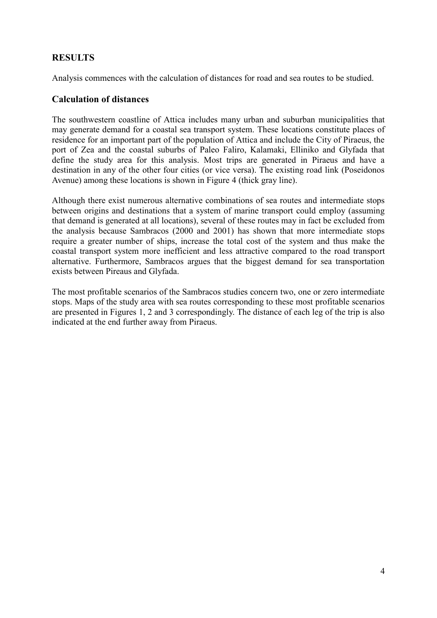# **RESULTS**

Analysis commences with the calculation of distances for road and sea routes to be studied.

## **Calculation of distances**

The southwestern coastline of Attica includes many urban and suburban municipalities that may generate demand for a coastal sea transport system. These locations constitute places of residence for an important part of the population of Attica and include the City of Piraeus, the port of Zea and the coastal suburbs of Paleo Faliro, Kalamaki, Elliniko and Glyfada that define the study area for this analysis. Most trips are generated in Piraeus and have a destination in any of the other four cities (or vice versa). The existing road link (Poseidonos Avenue) among these locations is shown in Figure 4 (thick gray line).

Although there exist numerous alternative combinations of sea routes and intermediate stops between origins and destinations that a system of marine transport could employ (assuming that demand is generated at all locations), several of these routes may in fact be excluded from the analysis because Sambracos (2000 and 2001) has shown that more intermediate stops require a greater number of ships, increase the total cost of the system and thus make the coastal transport system more inefficient and less attractive compared to the road transport alternative. Furthermore, Sambracos argues that the biggest demand for sea transportation exists between Pireaus and Glyfada.

The most profitable scenarios of the Sambracos studies concern two, one or zero intermediate stops. Maps of the study area with sea routes corresponding to these most profitable scenarios are presented in Figures 1, 2 and 3 correspondingly. The distance of each leg of the trip is also indicated at the end further away from Piraeus.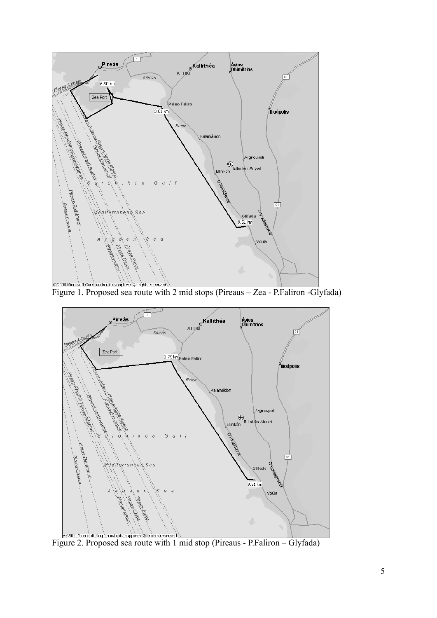

**EXECUTE CONSTRUCT OF A And/or its suppliers.** All rights reserved. The nid stops (Pireaus – Zea - P.Faliron -Glyfada)



**EXECUTE 2000 Microsoft Corp.** and/or its suppliers. All ingrits reserved. The stop (Pireaus - P.Faliron – Glyfada)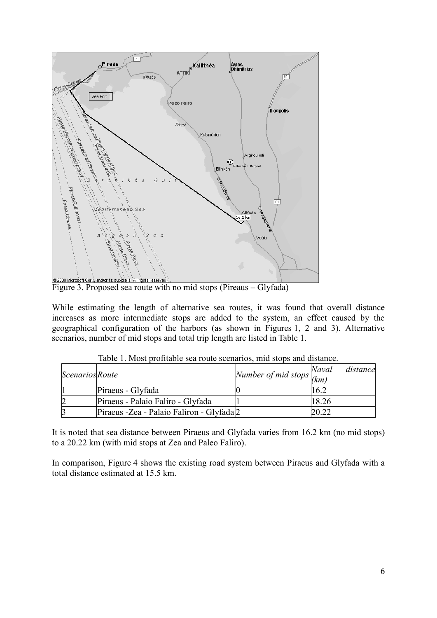

Figure 3. Proposed sea route with no mid stops (Pireaus – Glyfada)

While estimating the length of alternative sea routes, it was found that overall distance increases as more intermediate stops are added to the system, an effect caused by the geographical configuration of the harbors (as shown in Figures 1, 2 and 3). Alternative scenarios, number of mid stops and total trip length are listed in Table 1.

| <i>Scenarios Route</i> |                                            | Number of mid stops $\frac{1}{(km)}$ | distance<br>Naval |
|------------------------|--------------------------------------------|--------------------------------------|-------------------|
|                        | Piraeus - Glyfada                          |                                      | 16.2              |
|                        | Piraeus - Palaio Faliro - Glyfada          |                                      | 18.26             |
|                        | Piraeus - Zea - Palaio Faliron - Glyfada 2 |                                      |                   |

Table 1. Most profitable sea route scenarios, mid stops and distance.

It is noted that sea distance between Piraeus and Glyfada varies from 16.2 km (no mid stops) to a 20.22 km (with mid stops at Zea and Paleo Faliro).

In comparison, Figure 4 shows the existing road system between Piraeus and Glyfada with a total distance estimated at 15.5 km.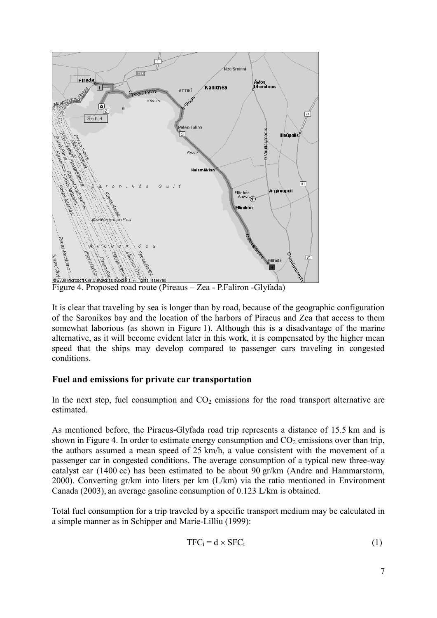

Figure 4. Proposed road route (Pireaus – Zea - P.Faliron -Glyfada)

It is clear that traveling by sea is longer than by road, because of the geographic configuration of the Saronikos bay and the location of the harbors of Piraeus and Zea that access to them somewhat laborious (as shown in Figure 1). Although this is a disadvantage of the marine alternative, as it will become evident later in this work, it is compensated by the higher mean speed that the ships may develop compared to passenger cars traveling in congested conditions.

#### **Fuel and emissions for private car transportation**

In the next step, fuel consumption and  $CO<sub>2</sub>$  emissions for the road transport alternative are estimated.

As mentioned before, the Piraeus-Glyfada road trip represents a distance of 15.5 km and is shown in Figure 4. In order to estimate energy consumption and  $CO<sub>2</sub>$  emissions over than trip, the authors assumed a mean speed of 25 km/h, a value consistent with the movement of a passenger car in congested conditions. The average consumption of a typical new three-way catalyst car (1400 cc) has been estimated to be about 90 gr/km (Andre and Hammarstorm, 2000). Converting gr/km into liters per km (L/km) via the ratio mentioned in Environment Canada (2003), an average gasoline consumption of 0.123 L/km is obtained.

Total fuel consumption for a trip traveled by a specific transport medium may be calculated in a simple manner as in Schipper and Marie-Lilliu (1999):

$$
TFC_i = d \times SFC_i \tag{1}
$$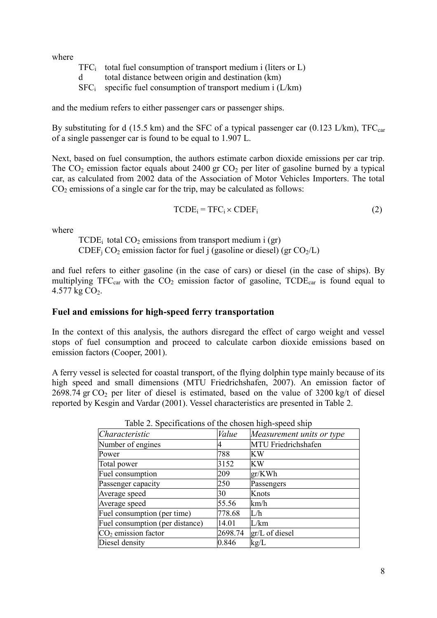where

|             | $TFC_i$ total fuel consumption of transport medium i (liters or L) |
|-------------|--------------------------------------------------------------------|
| $\mathbf d$ | total distance between origin and destination (km)                 |
|             | $SFC_i$ specific fuel consumption of transport medium i (L/km)     |

and the medium refers to either passenger cars or passenger ships.

By substituting for d (15.5 km) and the SFC of a typical passenger car (0.123 L/km),  $TFC_{car}$ of a single passenger car is found to be equal to 1.907 L.

Next, based on fuel consumption, the authors estimate carbon dioxide emissions per car trip. The  $CO<sub>2</sub>$  emission factor equals about 2400 gr  $CO<sub>2</sub>$  per liter of gasoline burned by a typical car, as calculated from 2002 data of the Association of Motor Vehicles Importers. The total  $CO<sub>2</sub>$  emissions of a single car for the trip, may be calculated as follows:

$$
TCDE_i = TFC_i \times CDEF_i \tag{2}
$$

where

 $TCDE<sub>i</sub>$  total  $CO<sub>2</sub>$  emissions from transport medium i (gr) CDEF<sub>i</sub> CO<sub>2</sub> emission factor for fuel j (gasoline or diesel) (gr CO<sub>2</sub>/L)

and fuel refers to either gasoline (in the case of cars) or diesel (in the case of ships). By multiplying TFC<sub>car</sub> with the  $CO<sub>2</sub>$  emission factor of gasoline, TCDE<sub>car</sub> is found equal to 4.577 kg  $CO<sub>2</sub>$ .

#### **Fuel and emissions for high-speed ferry transportation**

In the context of this analysis, the authors disregard the effect of cargo weight and vessel stops of fuel consumption and proceed to calculate carbon dioxide emissions based on emission factors (Cooper, 2001).

A ferry vessel is selected for coastal transport, of the flying dolphin type mainly because of its high speed and small dimensions (MTU Friedrichshafen, 2007). An emission factor of  $2698.74$  gr CO<sub>2</sub> per liter of diesel is estimated, based on the value of  $3200$  kg/t of diesel reported by Kesgin and Vardar (2001). Vessel characteristics are presented in Table 2.

| Tuble 2. Specifications of the chosen high speed sinp |         |                            |  |  |  |  |
|-------------------------------------------------------|---------|----------------------------|--|--|--|--|
| Characteristic                                        | Value   | Measurement units or type  |  |  |  |  |
| Number of engines                                     |         | <b>MTU</b> Friedrichshafen |  |  |  |  |
| Power                                                 | 788     | KW                         |  |  |  |  |
| Total power                                           | 3152    | KW                         |  |  |  |  |
| Fuel consumption                                      | 209     | gr/KWh                     |  |  |  |  |
| Passenger capacity                                    | 250     | Passengers                 |  |  |  |  |
| Average speed                                         | 30      | Knots                      |  |  |  |  |
| Average speed                                         | 55.56   | km/h                       |  |  |  |  |
| Fuel consumption (per time)                           | 778.68  | L/h                        |  |  |  |  |
| Fuel consumption (per distance)                       | 14.01   | L/km                       |  |  |  |  |
| $CO2$ emission factor                                 | 2698.74 | $gr/L$ of diesel           |  |  |  |  |
| Diesel density                                        | 0.846   | kg/L                       |  |  |  |  |
|                                                       |         |                            |  |  |  |  |

Table 2. Specifications of the chosen high-speed ship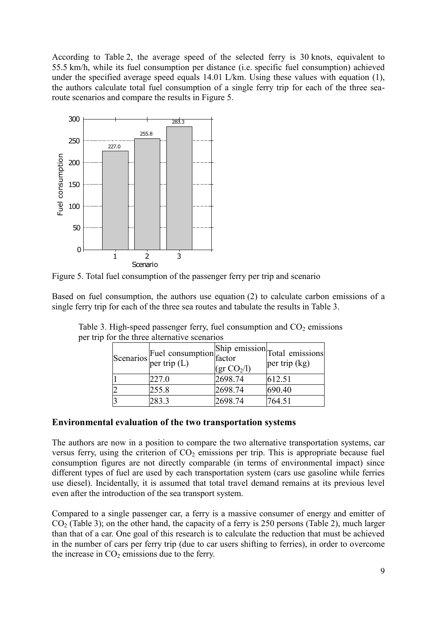According to Table 2, the average speed of the selected ferry is 30 knots, equivalent to 55.5 km/h, while its fuel consumption per distance (i.e. specific fuel consumption) achieved under the specified average speed equals 14.01 L/km. Using these values with equation (1), the authors calculate total fuel consumption of a single ferry trip for each of the three searoute scenarios and compare the results in Figure 5.



Figure 5. Total fuel consumption of the passenger ferry per trip and scenario

Based on fuel consumption, the authors use equation (2) to calculate carbon emissions of a single ferry trip for each of the three sea routes and tabulate the results in Table 3.

| Scenarios Fuel consumption Ship emission Total emissions, per trip $(L)$ | $(\text{gr CO}_2/l)$ |        |
|--------------------------------------------------------------------------|----------------------|--------|
| 227.0                                                                    | 2698.74              | 612.51 |
| 255.8                                                                    | 2698.74              | 690.40 |
| 283.3                                                                    | 2698.74              | 764.51 |

Table 3. High-speed passenger ferry, fuel consumption and  $CO<sub>2</sub>$  emissions per trip for the three alternative scenarios

#### **Environmental evaluation of the two transportation systems**

The authors are now in a position to compare the two alternative transportation systems, car versus ferry, using the criterion of  $CO<sub>2</sub>$  emissions per trip. This is appropriate because fuel consumption figures are not directly comparable (in terms of environmental impact) since different types of fuel are used by each transportation system (cars use gasoline while ferries use diesel). Incidentally, it is assumed that total travel demand remains at its previous level even after the introduction of the sea transport system.

Compared to a single passenger car, a ferry is a massive consumer of energy and emitter of  $CO<sub>2</sub>$  (Table 3); on the other hand, the capacity of a ferry is 250 persons (Table 2), much larger than that of a car. One goal of this research is to calculate the reduction that must be achieved in the number of cars per ferry trip (due to car users shifting to ferries), in order to overcome the increase in  $CO<sub>2</sub>$  emissions due to the ferry.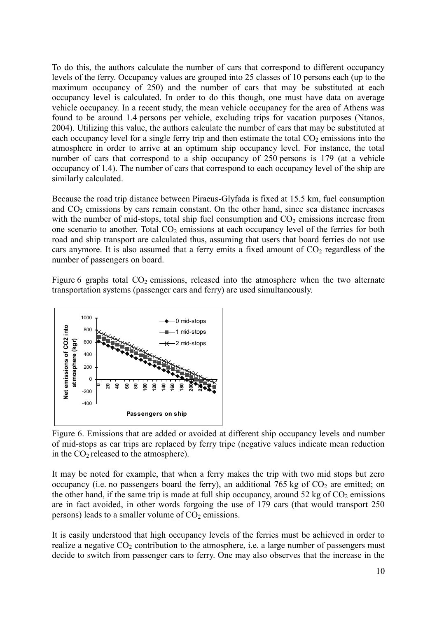To do this, the authors calculate the number of cars that correspond to different occupancy levels of the ferry. Occupancy values are grouped into 25 classes of 10 persons each (up to the maximum occupancy of 250) and the number of cars that may be substituted at each occupancy level is calculated. In order to do this though, one must have data on average vehicle occupancy. In a recent study, the mean vehicle occupancy for the area of Athens was found to be around 1.4 persons per vehicle, excluding trips for vacation purposes (Ntanos, 2004). Utilizing this value, the authors calculate the number of cars that may be substituted at each occupancy level for a single ferry trip and then estimate the total  $CO<sub>2</sub>$  emissions into the atmosphere in order to arrive at an optimum ship occupancy level. For instance, the total number of cars that correspond to a ship occupancy of 250 persons is 179 (at a vehicle occupancy of 1.4). The number of cars that correspond to each occupancy level of the ship are similarly calculated.

Because the road trip distance between Piraeus-Glyfada is fixed at 15.5 km, fuel consumption and  $CO<sub>2</sub>$  emissions by cars remain constant. On the other hand, since sea distance increases with the number of mid-stops, total ship fuel consumption and  $CO<sub>2</sub>$  emissions increase from one scenario to another. Total  $CO<sub>2</sub>$  emissions at each occupancy level of the ferries for both road and ship transport are calculated thus, assuming that users that board ferries do not use cars anymore. It is also assumed that a ferry emits a fixed amount of  $CO<sub>2</sub>$  regardless of the number of passengers on board.

Figure 6 graphs total  $CO<sub>2</sub>$  emissions, released into the atmosphere when the two alternate transportation systems (passenger cars and ferry) are used simultaneously.



Figure 6. Emissions that are added or avoided at different ship occupancy levels and number of mid-stops as car trips are replaced by ferry tripe (negative values indicate mean reduction in the  $CO<sub>2</sub>$  released to the atmosphere).

It may be noted for example, that when a ferry makes the trip with two mid stops but zero occupancy (i.e. no passengers board the ferry), an additional 765 kg of  $CO<sub>2</sub>$  are emitted; on the other hand, if the same trip is made at full ship occupancy, around 52 kg of  $CO<sub>2</sub>$  emissions are in fact avoided, in other words forgoing the use of 179 cars (that would transport 250 persons) leads to a smaller volume of  $CO<sub>2</sub>$  emissions.

It is easily understood that high occupancy levels of the ferries must be achieved in order to realize a negative  $CO<sub>2</sub>$  contribution to the atmosphere, i.e. a large number of passengers must decide to switch from passenger cars to ferry. One may also observes that the increase in the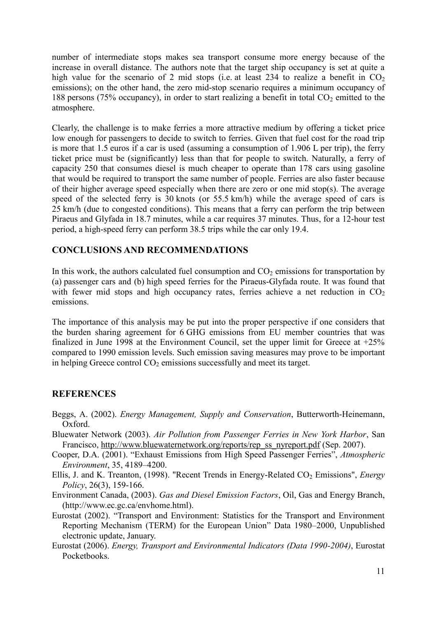number of intermediate stops makes sea transport consume more energy because of the increase in overall distance. The authors note that the target ship occupancy is set at quite a high value for the scenario of 2 mid stops (i.e. at least 234 to realize a benefit in  $CO<sub>2</sub>$ ) emissions); on the other hand, the zero mid-stop scenario requires a minimum occupancy of 188 persons (75% occupancy), in order to start realizing a benefit in total  $CO<sub>2</sub>$  emitted to the atmosphere.

Clearly, the challenge is to make ferries a more attractive medium by offering a ticket price low enough for passengers to decide to switch to ferries. Given that fuel cost for the road trip is more that 1.5 euros if a car is used (assuming a consumption of 1.906 L per trip), the ferry ticket price must be (significantly) less than that for people to switch. Naturally, a ferry of capacity 250 that consumes diesel is much cheaper to operate than 178 cars using gasoline that would be required to transport the same number of people. Ferries are also faster because of their higher average speed especially when there are zero or one mid stop(s). The average speed of the selected ferry is 30 knots (or 55.5 km/h) while the average speed of cars is 25 km/h (due to congested conditions). This means that a ferry can perform the trip between Piraeus and Glyfada in 18.7 minutes, while a car requires 37 minutes. Thus, for a 12-hour test period, a high-speed ferry can perform 38.5 trips while the car only 19.4.

## **CONCLUSIONS AND RECOMMENDATIONS**

In this work, the authors calculated fuel consumption and  $CO<sub>2</sub>$  emissions for transportation by (a) passenger cars and (b) high speed ferries for the Piraeus-Glyfada route. It was found that with fewer mid stops and high occupancy rates, ferries achieve a net reduction in  $CO<sub>2</sub>$ emissions.

The importance of this analysis may be put into the proper perspective if one considers that the burden sharing agreement for 6 GHG emissions from EU member countries that was finalized in June 1998 at the Environment Council, set the upper limit for Greece at  $+25\%$ compared to 1990 emission levels. Such emission saving measures may prove to be important in helping Greece control  $CO<sub>2</sub>$  emissions successfully and meet its target.

#### **REFERENCES**

- Beggs, A. (2002). *Energy Management, Supply and Conservation*, Butterworth-Heinemann, Oxford.
- Bluewater Network (2003). *Air Pollution from Passenger Ferries in New York Harbor*, San Francisco, http://www.bluewaternetwork.org/reports/rep\_ss\_nyreport.pd[f \(Sep. 2007\)](http://www.bluewaternetwork.org/).
- Cooper, D.A. (2001). "Exhaust Emissions from High Speed Passenger Ferries", *Atmospheric Environment*, 35, 4189–4200.
- Ellis, J. and K. Treanton, (1998). "Recent Trends in Energy-Related CO<sub>2</sub> Emissions", *Energy Policy*, 26(3), 159-166.
- Environment Canada, (2003). *Gas and Diesel Emission Factors*, Oil, Gas and Energy Branch, (http://www.ec.gc.ca/envhome.html).
- Eurostat (2002). "Transport and Environment: Statistics for the Transport and Environment Reporting Mechanism (TERM) for the European Union" Data 1980–2000, Unpublished electronic update, January.
- Eurostat (2006). *Energy, Transport and Environmental Indicators (Data 1990-2004)*, Eurostat Pocketbooks.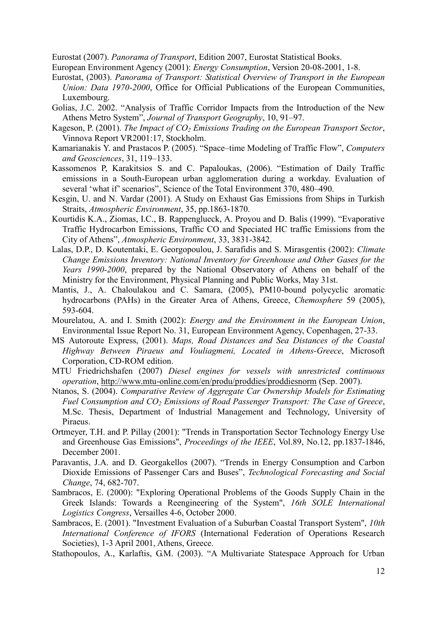Eurostat (2007). *Panorama of Transport*, Edition 2007, Eurostat Statistical Books.

European Environment Agency (2001): *Energy Consumption*, Version 20-08-2001, 1-8.

- Eurostat, (2003). *Panorama of Transport: Statistical Overview of Transport in the European Union: Data 1970-2000*, Office for Official Publications of the European Communities, Luxembourg.
- Golias, J.C. 2002. "Analysis of Traffic Corridor Impacts from the Introduction of the New Athens Metro System", *Journal of Transport Geography*, 10, 91–97.
- Kageson, P. (2001). *The Impact of CO2 Emissions Trading on the European Transport Sector*, Vinnova Report VR2001:17, Stockholm.
- Kamarianakis Y. and Prastacos P. (2005). "Space–time Modeling of Traffic Flow", *Computers and Geosciences*, 31, 119–133.
- Kassomenos P, Karakitsios S. and C. Papaloukas, (2006). "Estimation of Daily Traffic emissions in a South-European urban agglomeration during a workday. Evaluation of several 'what if' scenarios", Science of the Total Environment 370, 480–490.
- Kesgin, U. and N. Vardar (2001). A Study on Exhaust Gas Emissions from Ships in Turkish Straits, *Atmospheric Environment*, 35, pp.1863-1870.
- Kourtidis K.A., Ziomas, I.C., B. Rappenglueck, A. Proyou and D. Balis (1999). "Evaporative Traffic Hydrocarbon Emissions, Traffic CO and Speciated HC traffic Emissions from the City of Athens", *Atmospheric Environment*, 33, 3831-3842.
- Lalas, D.P., D. Koutentaki, E. Georgopoulou, J. Sarafidis and S. Mirasgentis (2002): *Climate Change Emissions Inventory: National Inventory for Greenhouse and Other Gases for the Years 1990-2000*, prepared by the National Observatory of Athens on behalf of the Ministry for the Environment, Physical Planning and Public Works, May 31st.
- Mantis, J., A. Chaloulakou and C. Samara, (2005), PM10-bound polycyclic aromatic hydrocarbons (PAHs) in the Greater Area of Athens, Greece, *Chemosphere* 59 (2005), 593-604.
- Mourelatou, A. and I. Smith (2002): *Energy and the Environment in the European Union*, Environmental Issue Report No. 31, European Environment Agency, Copenhagen, 27-33.
- MS Autoroute Express, (2001). *Maps, Road Distances and Sea Distances of the Coastal Highway Between Piraeus and Vouliagmeni, Located in Athens-Greece*, Microsoft Corporation, CD-ROM edition.
- MTU Friedrichshafen (2007) *Diesel engines for vessels with unrestricted continuous operation*, http://www.mtu-online.com/en/produ/proddies/proddiesnorm (Sep. 2007).
- Ntanos, S. (2004). *Comparative Review of Aggregate Car Ownership Models for Estimating Fuel Consumption and CO2 Emissions of Road Passenger Transport: The Case of Greece*, M.Sc. Thesis, Department of Industrial Management and Technology, University of Piraeus.
- Ortmeyer, T.H. and P. Pillay (2001): "Trends in Transportation Sector Technology Energy Use and Greenhouse Gas Emissions", *Proceedings of the IEEE*, Vol.89, No.12, pp.1837-1846, December 2001.
- Paravantis, J.A. and D. Georgakellos (2007). "Trends in Energy Consumption and Carbon Dioxide Emissions of Passenger Cars and Buses", *Technological Forecasting and Social Change*, 74, 682-707.
- Sambracos, E. (2000): "Exploring Operational Problems of the Goods Supply Chain in the Greek Islands: Towards a Reengineering of the System", *16th SOLE International Logistics Congress*, Versailles 4-6, October 2000.
- Sambracos, E. (2001). "Investment Evaluation of a Suburban Coastal Transport System", *10th International Conference of IFORS* (International Federation of Operations Research Societies), 1-3 April 2001, Athens, Greece.
- Stathopoulos, A., Karlaftis, G.M. (2003). "A Multivariate Statespace Approach for Urban